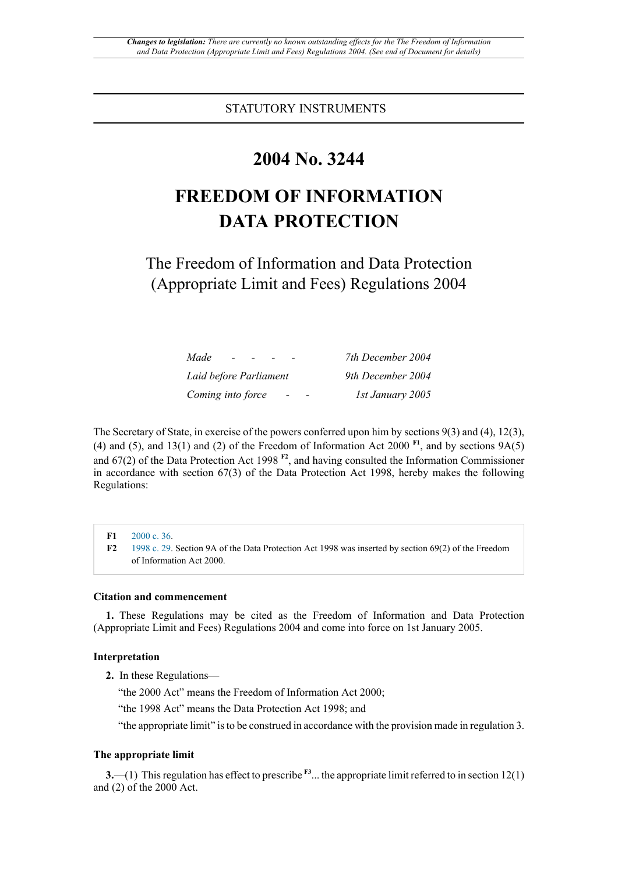STATUTORY INSTRUMENTS

## **2004 No. 3244**

# **FREEDOM OF INFORMATION DATA PROTECTION**

The Freedom of Information and Data Protection (Appropriate Limit and Fees) Regulations 2004

<span id="page-0-3"></span><span id="page-0-2"></span>

| Made<br>$\sim$                                | 7th December 2004 |
|-----------------------------------------------|-------------------|
| Laid before Parliament                        | 9th December 2004 |
| Coming into force<br>$\overline{\phantom{0}}$ | 1st January 2005  |

The Secretary of State, in exercise of the powers conferred upon him by sections 9(3) and (4), 12(3), (4) and (5), and 13(1) and (2) of the Freedom of Information Act 2000  $F1$ , and by sections 9A(5) and 67(2) of the Data Protection Act 1998 **[F2](#page-0-1)**, and having consulted the Information Commissioner in accordance with section 67(3) of the Data Protection Act 1998, hereby makes the following Regulations:

<span id="page-0-1"></span><span id="page-0-0"></span>**[F1](#page-0-2)** [2000 c. 36](http://www.legislation.gov.uk/id/ukpga/2000/36). **[F2](#page-0-3)** [1998 c. 29](http://www.legislation.gov.uk/id/ukpga/1998/29). Section 9A of the Data Protection Act 1998 was inserted by section 69(2) of the Freedom of Information Act 2000.

#### **Citation and commencement**

**1.** These Regulations may be cited as the Freedom of Information and Data Protection (Appropriate Limit and Fees) Regulations 2004 and come into force on 1st January 2005.

#### **Interpretation**

**2.** In these Regulations—

"the 2000 Act" means the Freedom of Information Act 2000;

"the 1998 Act" means the Data Protection Act 1998; and

<span id="page-0-4"></span>"the appropriate limit" is to be construed in accordance with the provision made in regulation 3.

#### **The appropriate limit**

**3.**—(1) This regulation has effect to prescribe  $F^3$ ... the appropriate limit referred to in section 12(1) and (2) of the 2000 Act.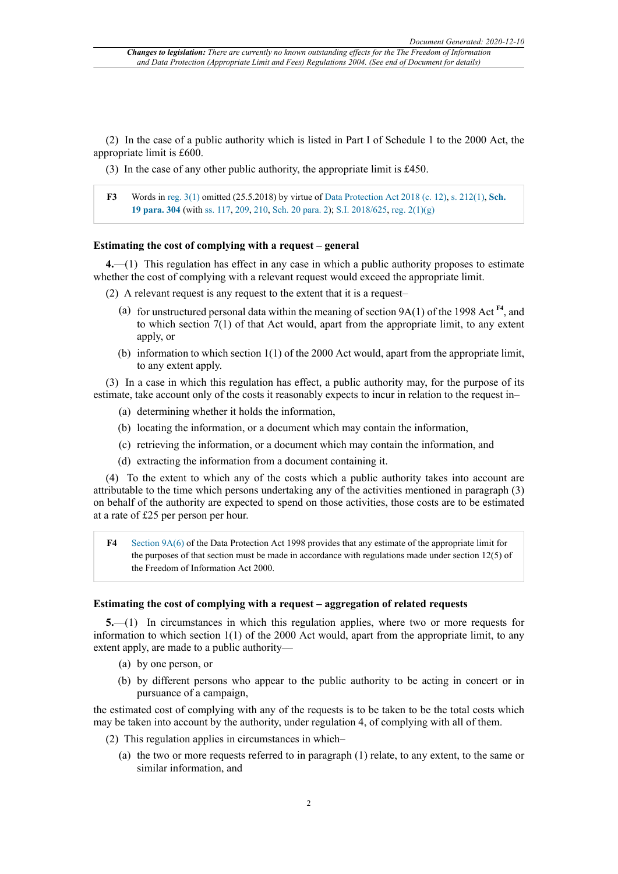(2) In the case of a public authority which is listed in Part I of Schedule 1 to the 2000 Act, the appropriate limit is £600.

(3) In the case of any other public authority, the appropriate limit is £450.

<span id="page-1-0"></span>**[F3](#page-0-4)** Words in [reg. 3\(1\)](http://www.legislation.gov.uk/id/uksi/2004/3244/regulation/3/1) omitted (25.5.2018) by virtue of [Data Protection Act 2018 \(c. 12\)](http://www.legislation.gov.uk/id/ukpga/2018/12), [s. 212\(1\),](http://www.legislation.gov.uk/id/ukpga/2018/12/section/212/1) **[Sch.](http://www.legislation.gov.uk/id/ukpga/2018/12/schedule/19/paragraph/304) [19 para. 304](http://www.legislation.gov.uk/id/ukpga/2018/12/schedule/19/paragraph/304)** (with ss. [117](http://www.legislation.gov.uk/id/ukpga/2018/12/section/117), [209](http://www.legislation.gov.uk/id/ukpga/2018/12/section/209), [210](http://www.legislation.gov.uk/id/ukpga/2018/12/section/210), [Sch. 20 para. 2](http://www.legislation.gov.uk/id/ukpga/2018/12/schedule/20/paragraph/2)); [S.I. 2018/625,](http://www.legislation.gov.uk/id/uksi/2018/625) [reg. 2\(1\)\(g\)](http://www.legislation.gov.uk/id/uksi/2018/625/regulation/2/1/g)

#### **Estimating the cost of complying with a request – general**

**4.**—(1) This regulation has effect in any case in which a public authority proposes to estimate whether the cost of complying with a relevant request would exceed the appropriate limit.

(2) A relevant request is any request to the extent that it is a request–

- <span id="page-1-2"></span>(a) for unstructured personal data within the meaning of section 9A(1) of the 1998 Act **[F4](#page-1-1)**, and to which section 7(1) of that Act would, apart from the appropriate limit, to any extent apply, or
- (b) information to which section  $1(1)$  of the 2000 Act would, apart from the appropriate limit, to any extent apply.

(3) In a case in which this regulation has effect, a public authority may, for the purpose of its estimate, take account only of the costs it reasonably expects to incur in relation to the request in–

- (a) determining whether it holds the information,
- (b) locating the information, or a document which may contain the information,
- (c) retrieving the information, or a document which may contain the information, and
- (d) extracting the information from a document containing it.

(4) To the extent to which any of the costs which a public authority takes into account are attributable to the time which persons undertaking any of the activities mentioned in paragraph (3) on behalf of the authority are expected to spend on those activities, those costs are to be estimated at a rate of £25 per person per hour.

<span id="page-1-1"></span>**[F4](#page-1-2)** [Section 9A\(6\)](http://www.legislation.gov.uk/id/uksi/2004/3244/section/9A/6) of the Data Protection Act 1998 provides that any estimate of the appropriate limit for the purposes of that section must be made in accordance with regulations made under section 12(5) of the Freedom of Information Act 2000.

#### **Estimating the cost of complying with a request – aggregation of related requests**

**5.**—(1) In circumstances in which this regulation applies, where two or more requests for information to which section 1(1) of the 2000 Act would, apart from the appropriate limit, to any extent apply, are made to a public authority—

- (a) by one person, or
- (b) by different persons who appear to the public authority to be acting in concert or in pursuance of a campaign,

the estimated cost of complying with any of the requests is to be taken to be the total costs which may be taken into account by the authority, under regulation 4, of complying with all of them.

- (2) This regulation applies in circumstances in which–
	- (a) the two or more requests referred to in paragraph (1) relate, to any extent, to the same or similar information, and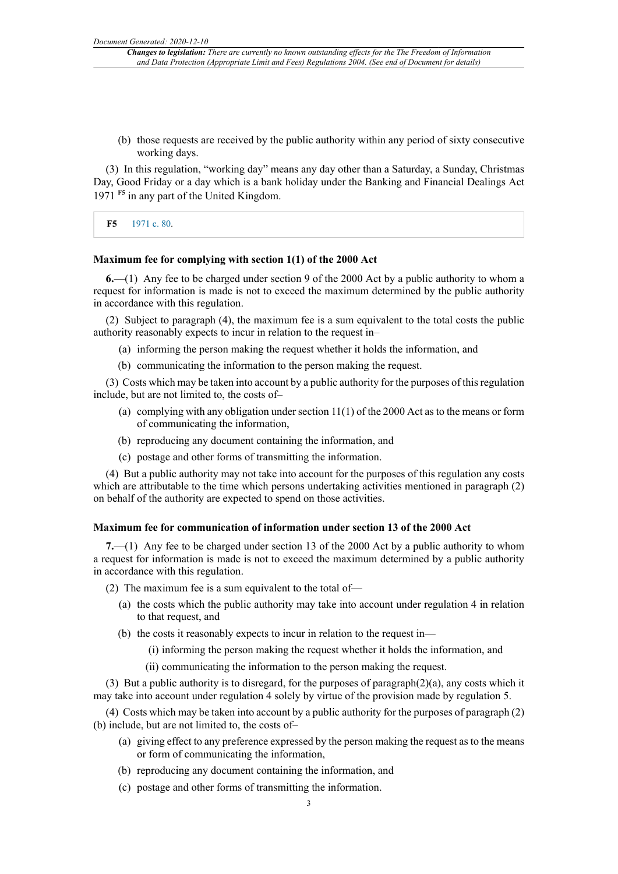(b) those requests are received by the public authority within any period of sixty consecutive working days.

<span id="page-2-1"></span>(3) In this regulation, "working day" means any day other than a Saturday, a Sunday, Christmas Day, Good Friday or a day which is a bank holiday under the Banking and Financial Dealings Act 1971 **[F5](#page-2-0)** in any part of the United Kingdom.

<span id="page-2-0"></span>**[F5](#page-2-1)** [1971 c. 80](http://www.legislation.gov.uk/id/ukpga/1971/80).

#### **Maximum fee for complying with section 1(1) of the 2000 Act**

**6.**—(1) Any fee to be charged under section 9 of the 2000 Act by a public authority to whom a request for information is made is not to exceed the maximum determined by the public authority in accordance with this regulation.

(2) Subject to paragraph (4), the maximum fee is a sum equivalent to the total costs the public authority reasonably expects to incur in relation to the request in–

- (a) informing the person making the request whether it holds the information, and
- (b) communicating the information to the person making the request.

(3) Costs which may be taken into account by a public authority for the purposes of this regulation include, but are not limited to, the costs of–

- (a) complying with any obligation under section  $11(1)$  of the 2000 Act as to the means or form of communicating the information,
- (b) reproducing any document containing the information, and
- (c) postage and other forms of transmitting the information.

(4) But a public authority may not take into account for the purposes of this regulation any costs which are attributable to the time which persons undertaking activities mentioned in paragraph (2) on behalf of the authority are expected to spend on those activities.

#### **Maximum fee for communication of information under section 13 of the 2000 Act**

**7.**—(1) Any fee to be charged under section 13 of the 2000 Act by a public authority to whom a request for information is made is not to exceed the maximum determined by a public authority in accordance with this regulation.

(2) The maximum fee is a sum equivalent to the total of—

- (a) the costs which the public authority may take into account under regulation 4 in relation to that request, and
- (b) the costs it reasonably expects to incur in relation to the request in—
	- (i) informing the person making the request whether it holds the information, and
	- (ii) communicating the information to the person making the request.

(3) But a public authority is to disregard, for the purposes of paragraph(2)(a), any costs which it may take into account under regulation 4 solely by virtue of the provision made by regulation 5.

(4) Costs which may be taken into account by a public authority for the purposes of paragraph (2) (b) include, but are not limited to, the costs of–

- (a) giving effect to any preference expressed by the person making the request as to the means or form of communicating the information,
- (b) reproducing any document containing the information, and
- (c) postage and other forms of transmitting the information.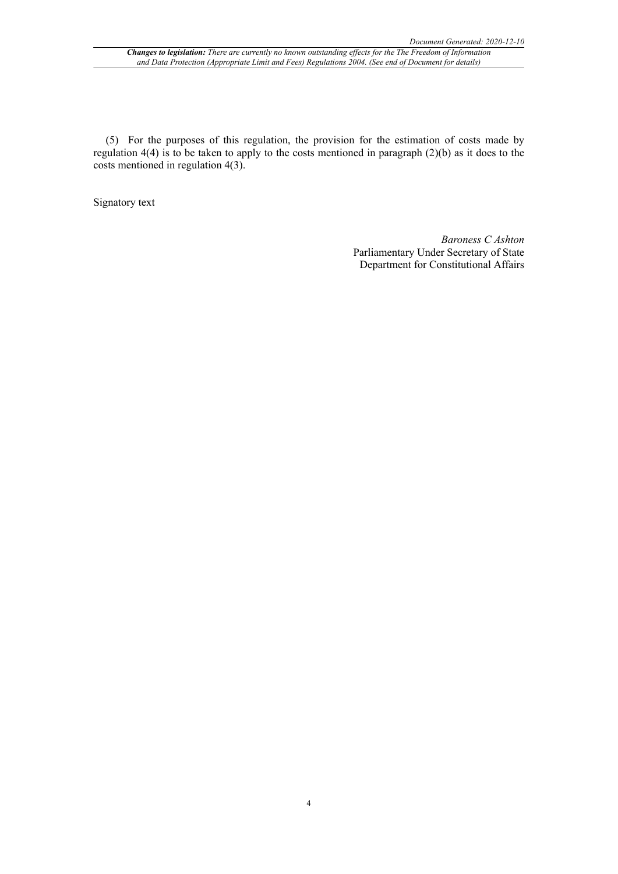(5) For the purposes of this regulation, the provision for the estimation of costs made by regulation 4(4) is to be taken to apply to the costs mentioned in paragraph (2)(b) as it does to the costs mentioned in regulation 4(3).

Signatory text

*Baroness C Ashton* Parliamentary Under Secretary of State Department for Constitutional Affairs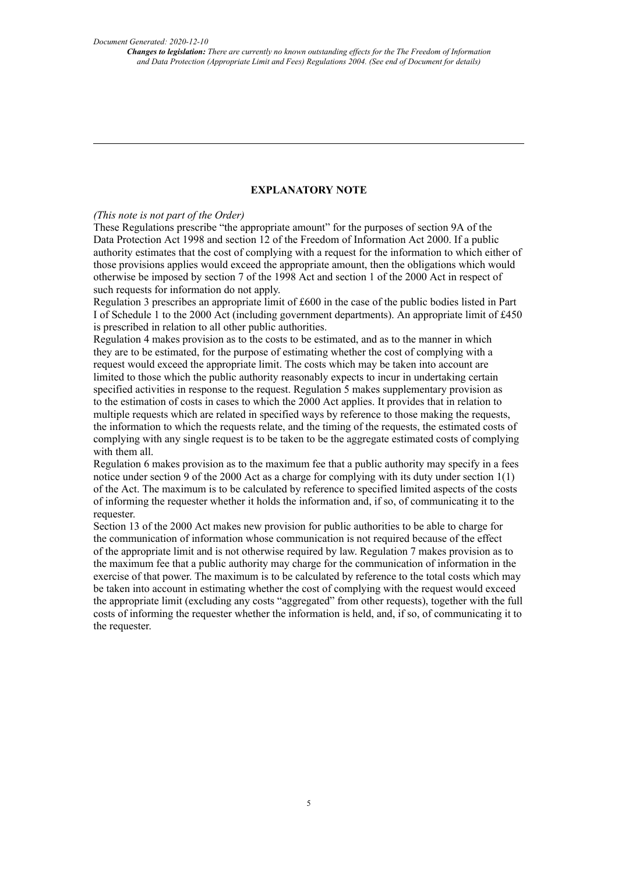#### **EXPLANATORY NOTE**

#### *(This note is not part of the Order)*

These Regulations prescribe "the appropriate amount" for the purposes of section 9A of the Data Protection Act 1998 and section 12 of the Freedom of Information Act 2000. If a public authority estimates that the cost of complying with a request for the information to which either of those provisions applies would exceed the appropriate amount, then the obligations which would otherwise be imposed by section 7 of the 1998 Act and section 1 of the 2000 Act in respect of such requests for information do not apply.

Regulation 3 prescribes an appropriate limit of £600 in the case of the public bodies listed in Part I of Schedule 1 to the 2000 Act (including government departments). An appropriate limit of £450 is prescribed in relation to all other public authorities.

Regulation 4 makes provision as to the costs to be estimated, and as to the manner in which they are to be estimated, for the purpose of estimating whether the cost of complying with a request would exceed the appropriate limit. The costs which may be taken into account are limited to those which the public authority reasonably expects to incur in undertaking certain specified activities in response to the request. Regulation 5 makes supplementary provision as to the estimation of costs in cases to which the 2000 Act applies. It provides that in relation to multiple requests which are related in specified ways by reference to those making the requests, the information to which the requests relate, and the timing of the requests, the estimated costs of complying with any single request is to be taken to be the aggregate estimated costs of complying with them all.

Regulation 6 makes provision as to the maximum fee that a public authority may specify in a fees notice under section 9 of the 2000 Act as a charge for complying with its duty under section 1(1) of the Act. The maximum is to be calculated by reference to specified limited aspects of the costs of informing the requester whether it holds the information and, if so, of communicating it to the requester.

Section 13 of the 2000 Act makes new provision for public authorities to be able to charge for the communication of information whose communication is not required because of the effect of the appropriate limit and is not otherwise required by law. Regulation 7 makes provision as to the maximum fee that a public authority may charge for the communication of information in the exercise of that power. The maximum is to be calculated by reference to the total costs which may be taken into account in estimating whether the cost of complying with the request would exceed the appropriate limit (excluding any costs "aggregated" from other requests), together with the full costs of informing the requester whether the information is held, and, if so, of communicating it to the requester.